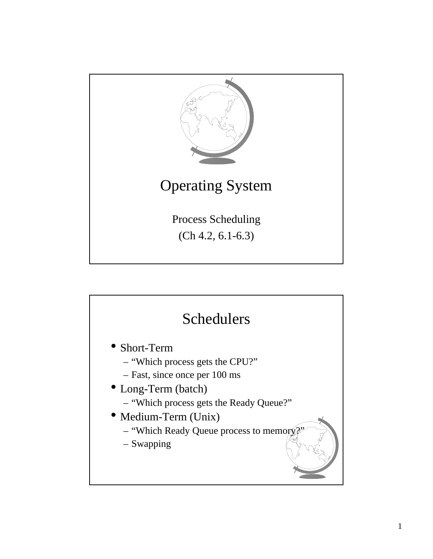

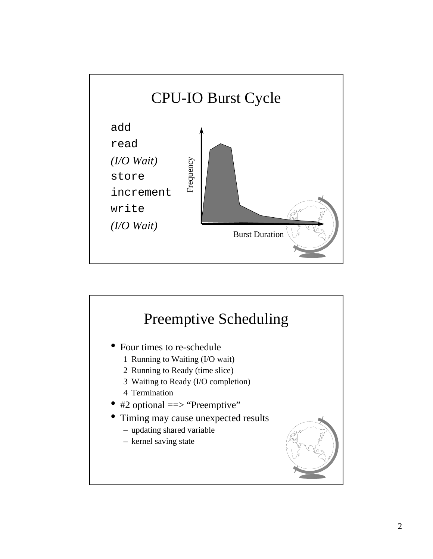

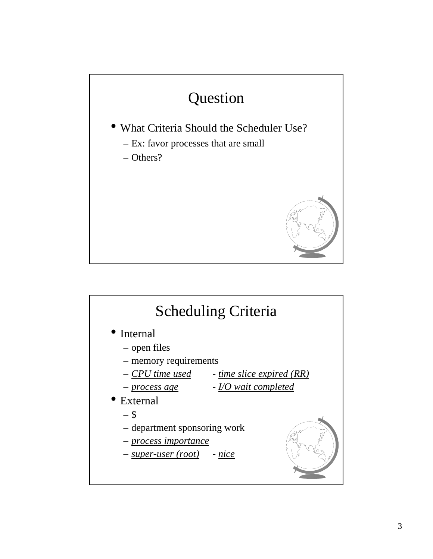

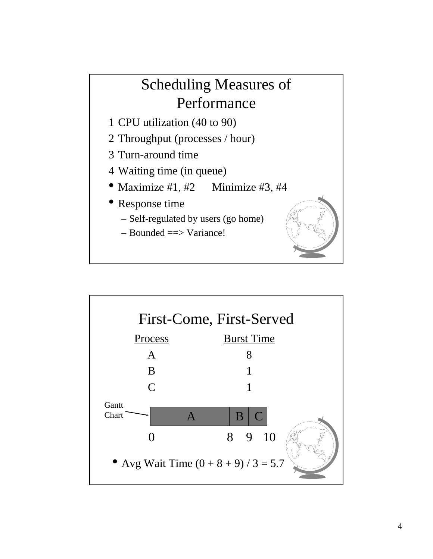## Scheduling Measures of Performance

- 1 CPU utilization (40 to 90)
- 2 Throughput (processes / hour)
- 3 Turn-around time
- 4 Waiting time (in queue)
- Maximize #1, #2 Minimize #3, #4
- Response time

A

B

C

- Self-regulated by users (go home)
- Bounded ==> Variance!



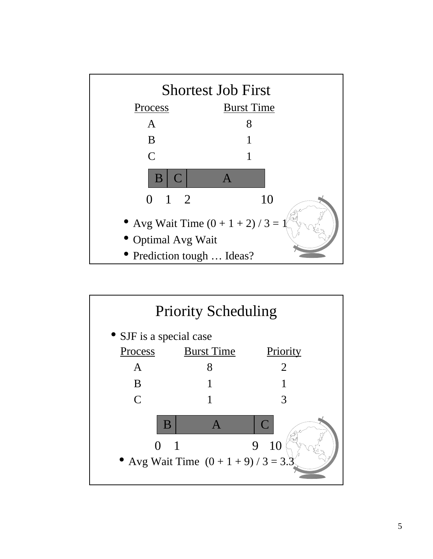

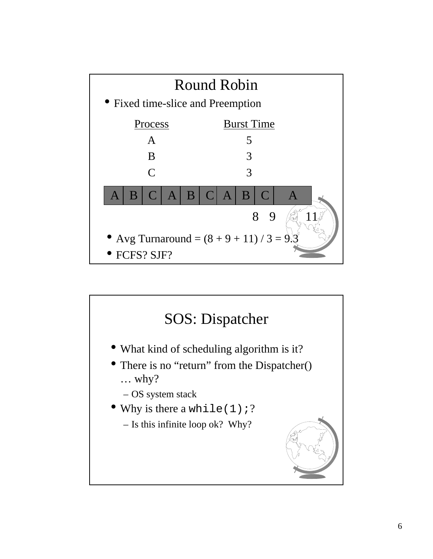

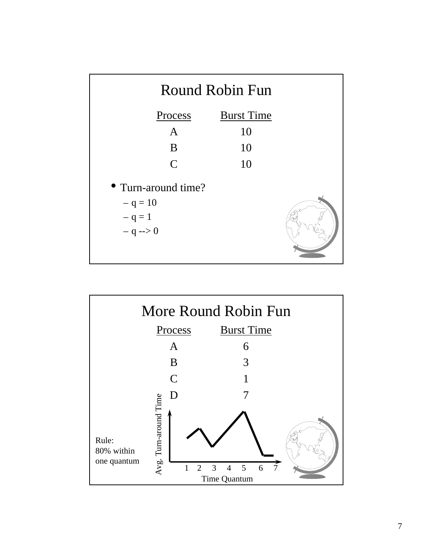

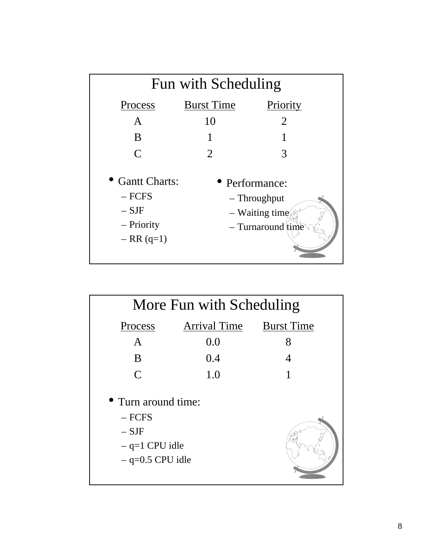| Fun with Scheduling                                                  |                                                                                         |                |  |
|----------------------------------------------------------------------|-----------------------------------------------------------------------------------------|----------------|--|
| Process                                                              | <b>Burst Time</b>                                                                       | Priority       |  |
| $\mathsf{A}$                                                         | 10                                                                                      | $\overline{2}$ |  |
| B                                                                    |                                                                                         |                |  |
| $\mathsf{C}$                                                         | 2                                                                                       | 3              |  |
| • Gantt Charts:<br>$-$ FCFS<br>$-$ SJF<br>– Priority<br>$- RR (q=1)$ | • Performance:<br>- Throughput<br>$-$ Waiting time.<br>$-$ Turnaround $\lim_{\epsilon}$ |                |  |

| More Fun with Scheduling                                                             |              |                   |  |
|--------------------------------------------------------------------------------------|--------------|-------------------|--|
| Process                                                                              | Arrival Time | <b>Burst Time</b> |  |
| $\mathbf{A}$                                                                         | 0.0          | 8                 |  |
| B                                                                                    | 0.4          | 4                 |  |
| $\mathcal{C}$                                                                        | 1.0          |                   |  |
| • Turn around time:<br>$-$ FCFS<br>$-$ SJF<br>$-$ q=1 CPU idle<br>$-$ q=0.5 CPU idle |              |                   |  |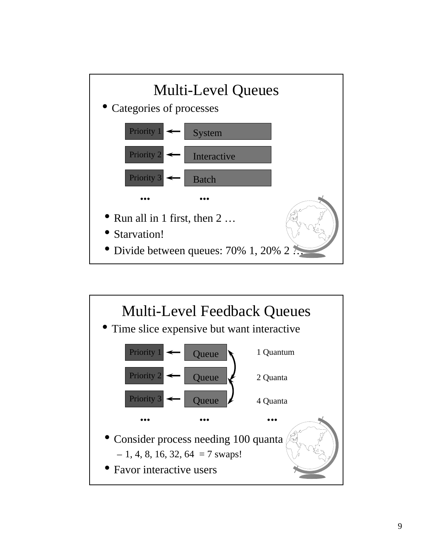

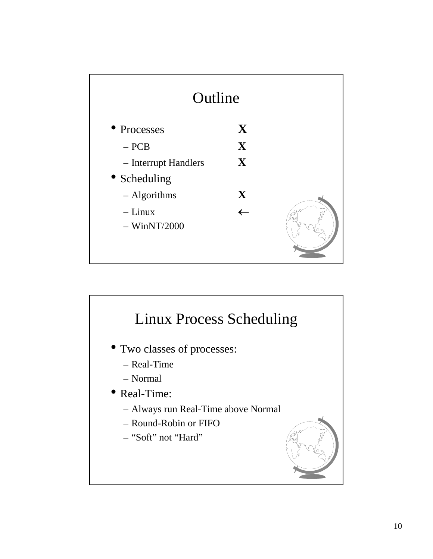

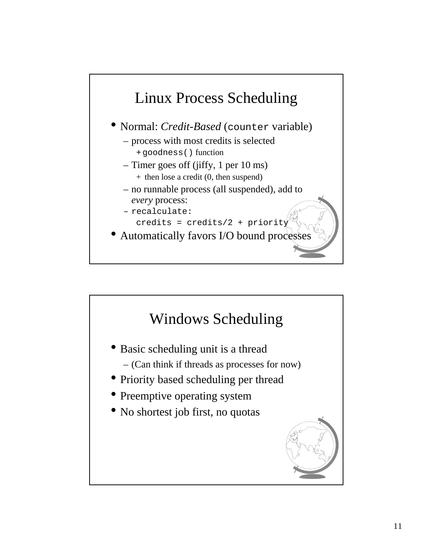

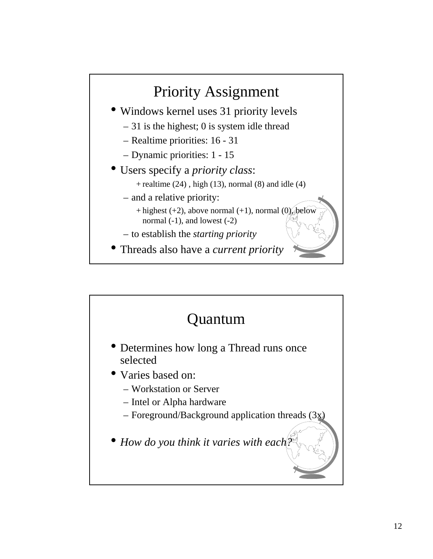

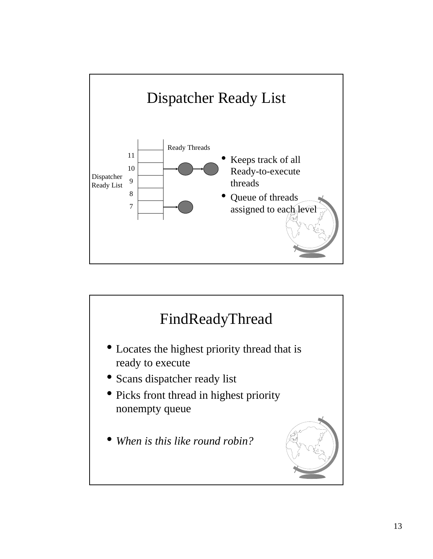